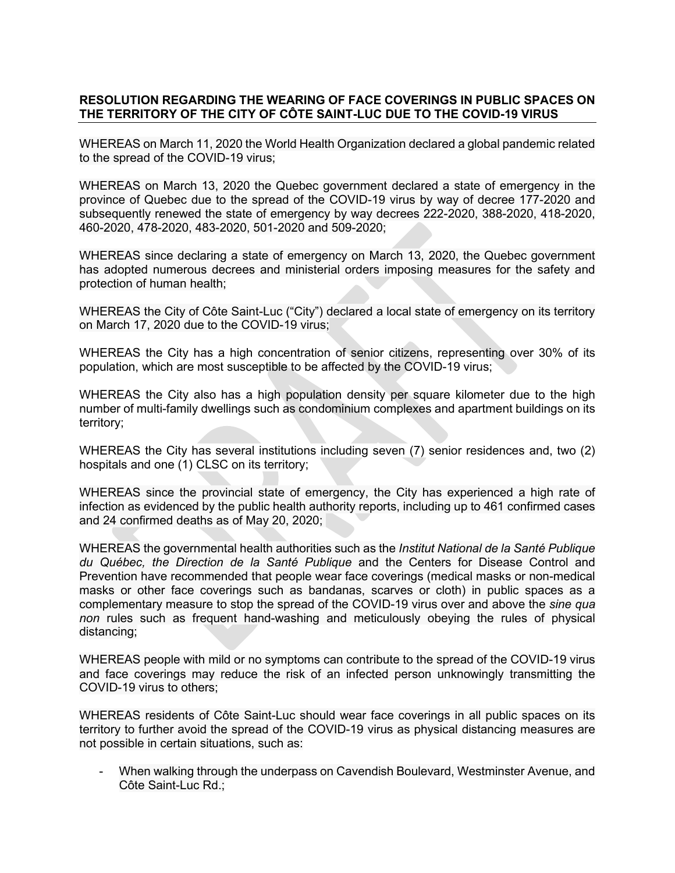## **RESOLUTION REGARDING THE WEARING OF FACE COVERINGS IN PUBLIC SPACES ON THE TERRITORY OF THE CITY OF CÔTE SAINT-LUC DUE TO THE COVID-19 VIRUS**

WHEREAS on March 11, 2020 the World Health Organization declared a global pandemic related to the spread of the COVID-19 virus;

WHEREAS on March 13, 2020 the Quebec government declared a state of emergency in the province of Quebec due to the spread of the COVID-19 virus by way of decree 177-2020 and subsequently renewed the state of emergency by way decrees 222-2020, 388-2020, 418-2020, 460-2020, 478-2020, 483-2020, 501-2020 and 509-2020;

WHEREAS since declaring a state of emergency on March 13, 2020, the Quebec government has adopted numerous decrees and ministerial orders imposing measures for the safety and protection of human health;

WHEREAS the City of Côte Saint-Luc ("City") declared a local state of emergency on its territory on March 17, 2020 due to the COVID-19 virus;

WHEREAS the City has a high concentration of senior citizens, representing over 30% of its population, which are most susceptible to be affected by the COVID-19 virus;

WHEREAS the City also has a high population density per square kilometer due to the high number of multi-family dwellings such as condominium complexes and apartment buildings on its territory;

WHEREAS the City has several institutions including seven (7) senior residences and, two (2) hospitals and one (1) CLSC on its territory;

WHEREAS since the provincial state of emergency, the City has experienced a high rate of infection as evidenced by the public health authority reports, including up to 461 confirmed cases and 24 confirmed deaths as of May 20, 2020;

WHEREAS the governmental health authorities such as the *Institut National de la Santé Publique du Québec, the Direction de la Santé Publique* and the Centers for Disease Control and Prevention have recommended that people wear face coverings (medical masks or non-medical masks or other face coverings such as bandanas, scarves or cloth) in public spaces as a complementary measure to stop the spread of the COVID-19 virus over and above the *sine qua non* rules such as frequent hand-washing and meticulously obeying the rules of physical distancing;

WHEREAS people with mild or no symptoms can contribute to the spread of the COVID-19 virus and face coverings may reduce the risk of an infected person unknowingly transmitting the COVID-19 virus to others;

WHEREAS residents of Côte Saint-Luc should wear face coverings in all public spaces on its territory to further avoid the spread of the COVID-19 virus as physical distancing measures are not possible in certain situations, such as:

- When walking through the underpass on Cavendish Boulevard, Westminster Avenue, and Côte Saint-Luc Rd.;